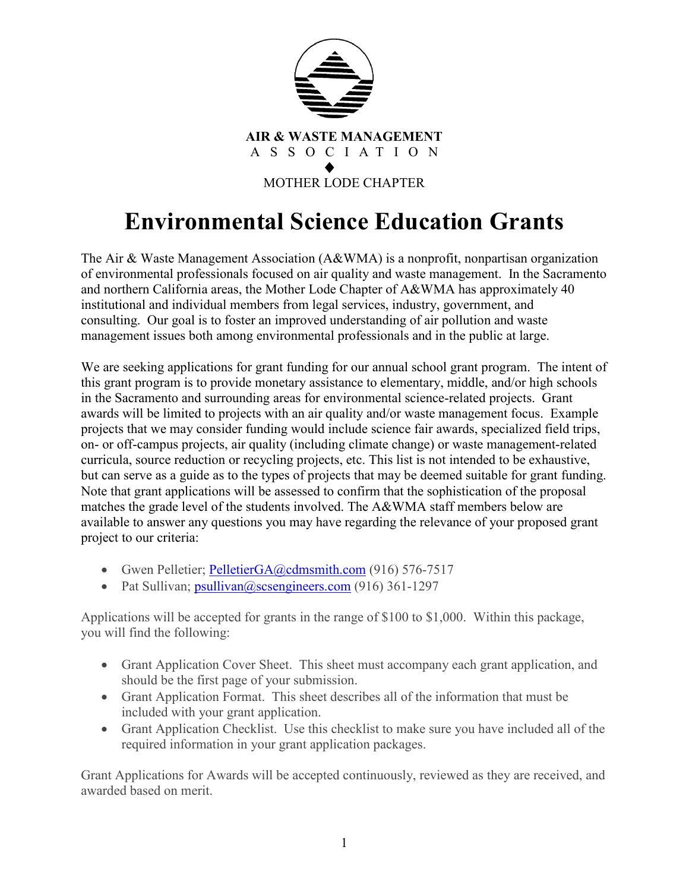

### **Environmental Science Education Grants**

The Air & Waste Management Association (A&WMA) is a nonprofit, nonpartisan organization of environmental professionals focused on air quality and waste management. In the Sacramento and northern California areas, the Mother Lode Chapter of A&WMA has approximately 40 institutional and individual members from legal services, industry, government, and consulting. Our goal is to foster an improved understanding of air pollution and waste management issues both among environmental professionals and in the public at large.

We are seeking applications for grant funding for our annual school grant program. The intent of this grant program is to provide monetary assistance to elementary, middle, and/or high schools in the Sacramento and surrounding areas for environmental science-related projects. Grant awards will be limited to projects with an air quality and/or waste management focus. Example projects that we may consider funding would include science fair awards, specialized field trips, on- or off-campus projects, air quality (including climate change) or waste management-related curricula, source reduction or recycling projects, etc. This list is not intended to be exhaustive, but can serve as a guide as to the types of projects that may be deemed suitable for grant funding. Note that grant applications will be assessed to confirm that the sophistication of the proposal matches the grade level of the students involved. The A&WMA staff members below are available to answer any questions you may have regarding the relevance of your proposed grant project to our criteria:

- Gwen Pelletier; [PelletierGA@cdmsmith.com](mailto:PelletierGA@cdmsmith.com) (916) 576-7517
- Pat Sullivan; psullivan $\omega$ scsengineers.com (916) 361-1297

Applications will be accepted for grants in the range of \$100 to \$1,000. Within this package, you will find the following:

- Grant Application Cover Sheet. This sheet must accompany each grant application, and should be the first page of your submission.
- Grant Application Format. This sheet describes all of the information that must be included with your grant application.
- Grant Application Checklist. Use this checklist to make sure you have included all of the required information in your grant application packages.

Grant Applications for Awards will be accepted continuously, reviewed as they are received, and awarded based on merit.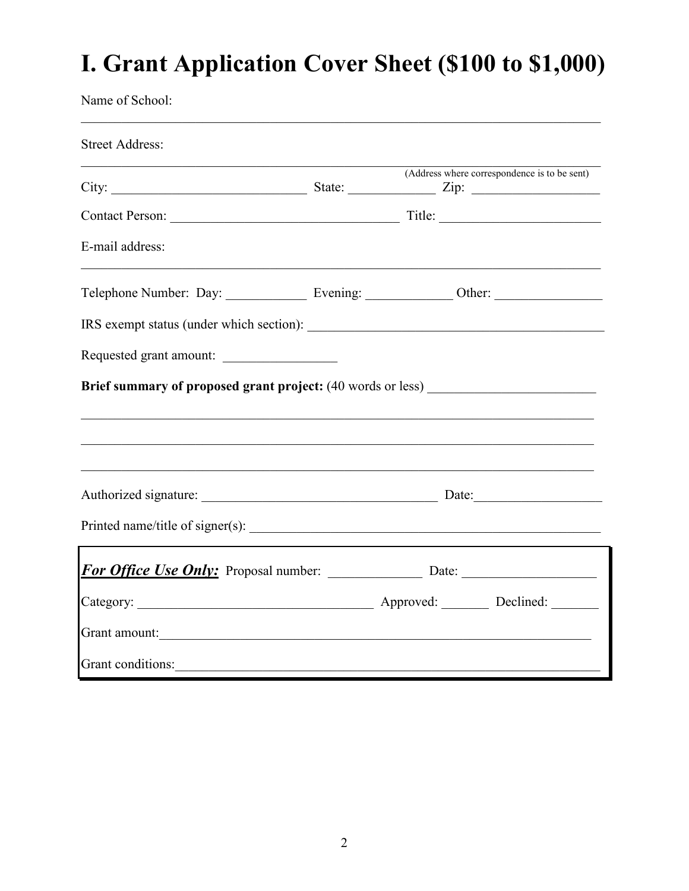## I. Grant Application Cover Sheet (\$100 to \$1,000)

Name of School:

| <b>Street Address:</b>                                                            |  |                                              |  |
|-----------------------------------------------------------------------------------|--|----------------------------------------------|--|
|                                                                                   |  | (Address where correspondence is to be sent) |  |
|                                                                                   |  |                                              |  |
| E-mail address:                                                                   |  |                                              |  |
| Telephone Number: Day: _______________ Evening: _____________ Other: ____________ |  |                                              |  |
|                                                                                   |  |                                              |  |
| Requested grant amount:                                                           |  |                                              |  |
| Brief summary of proposed grant project: (40 words or less) ____________________  |  |                                              |  |
|                                                                                   |  |                                              |  |
|                                                                                   |  |                                              |  |
|                                                                                   |  |                                              |  |
|                                                                                   |  |                                              |  |
|                                                                                   |  |                                              |  |
|                                                                                   |  |                                              |  |
| Grant amount:                                                                     |  |                                              |  |
| Grant conditions:                                                                 |  |                                              |  |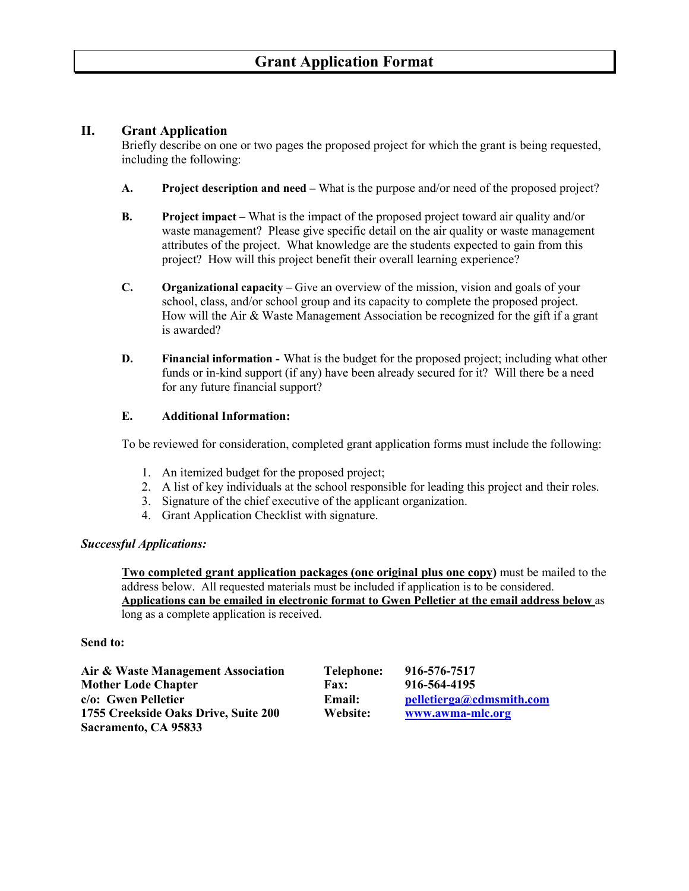### **Grant Application Format**

#### **II. Grant Application**

Briefly describe on one or two pages the proposed project for which the grant is being requested, including the following:

- **A. Project description and need –** What is the purpose and/or need of the proposed project?
- **B. Project impact –** What is the impact of the proposed project toward air quality and/or waste management? Please give specific detail on the air quality or waste management attributes of the project. What knowledge are the students expected to gain from this project? How will this project benefit their overall learning experience?
- **C. Organizational capacity**  Give an overview of the mission, vision and goals of your school, class, and/or school group and its capacity to complete the proposed project. How will the Air & Waste Management Association be recognized for the gift if a grant is awarded?
- **D. Financial information -** What is the budget for the proposed project; including what other funds or in-kind support (if any) have been already secured for it? Will there be a need for any future financial support?

#### **E. Additional Information:**

To be reviewed for consideration, completed grant application forms must include the following:

- 1. An itemized budget for the proposed project;
- 2. A list of key individuals at the school responsible for leading this project and their roles.
- 3. Signature of the chief executive of the applicant organization.
- 4. Grant Application Checklist with signature.

#### *Successful Applications:*

**Two completed grant application packages (one original plus one copy)** must be mailed to the address below. All requested materials must be included if application is to be considered. **Applications can be emailed in electronic format to Gwen Pelletier at the email address below** as long as a complete application is received.

#### **Send to:**

| Air & Waste Management Association   | <b>Telephone:</b> | 916-576-7517             |
|--------------------------------------|-------------------|--------------------------|
| <b>Mother Lode Chapter</b>           | <b>Fax:</b>       | 916-564-4195             |
| c/o: Gwen Pelletier                  | <b>Email:</b>     | pelletierga@cdmsmith.com |
| 1755 Creekside Oaks Drive, Suite 200 | Website:          | www.awma-mlc.org         |
| Sacramento, CA 95833                 |                   |                          |